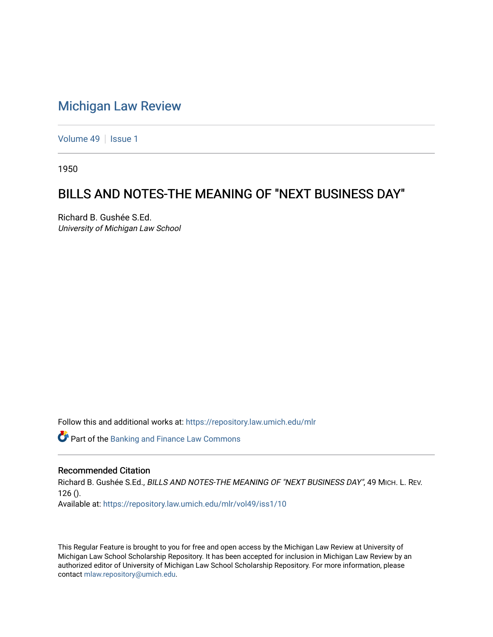## [Michigan Law Review](https://repository.law.umich.edu/mlr)

[Volume 49](https://repository.law.umich.edu/mlr/vol49) | [Issue 1](https://repository.law.umich.edu/mlr/vol49/iss1)

1950

## BILLS AND NOTES-THE MEANING OF "NEXT BUSINESS DAY"

Richard B. Gushée S.Ed. University of Michigan Law School

Follow this and additional works at: [https://repository.law.umich.edu/mlr](https://repository.law.umich.edu/mlr?utm_source=repository.law.umich.edu%2Fmlr%2Fvol49%2Fiss1%2F10&utm_medium=PDF&utm_campaign=PDFCoverPages) 

Part of the [Banking and Finance Law Commons](http://network.bepress.com/hgg/discipline/833?utm_source=repository.law.umich.edu%2Fmlr%2Fvol49%2Fiss1%2F10&utm_medium=PDF&utm_campaign=PDFCoverPages) 

## Recommended Citation

Richard B. Gushée S.Ed., BILLS AND NOTES-THE MEANING OF "NEXT BUSINESS DAY", 49 MICH. L. REV.  $126()$ . Available at: [https://repository.law.umich.edu/mlr/vol49/iss1/10](https://repository.law.umich.edu/mlr/vol49/iss1/10?utm_source=repository.law.umich.edu%2Fmlr%2Fvol49%2Fiss1%2F10&utm_medium=PDF&utm_campaign=PDFCoverPages) 

This Regular Feature is brought to you for free and open access by the Michigan Law Review at University of Michigan Law School Scholarship Repository. It has been accepted for inclusion in Michigan Law Review by an authorized editor of University of Michigan Law School Scholarship Repository. For more information, please contact [mlaw.repository@umich.edu](mailto:mlaw.repository@umich.edu).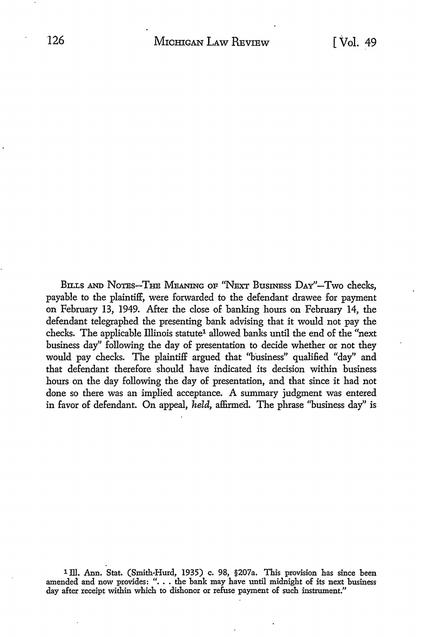BILLS AND NOTES-THE MEANING OF "NEXT BUSINESS DAY"-Two checks, payable to the plaintiff, were forwarded to the defendant drawee for payment on February 13, 1949. After the close of banking hours on February 14, the defendant telegraphed the presenting bank advising that it would not pay the checks. The applicable Illinois statute<sup>1</sup> allowed banks until the end of the "next business day" following the day of presentation to decide whether or not they would pay checks. The plaintiff argued that "husiness" qualified "day" and that defendant therefore should have indicated its decision within business hours on the day following the day of presentation, and that since it had not done so there was an implied acceptance. A summary judgment was entered in favor of defendant. On appeal, *held*, affirmed. The phrase "business day" is

<sup>1</sup> Ill. Ann. Stat. (Smith-Hurd, 1935) c. 98, §207a. This provision has since been amended and now provides: "... the bank may have until midnight of its next business day after receipt within which to dishonor or refuse p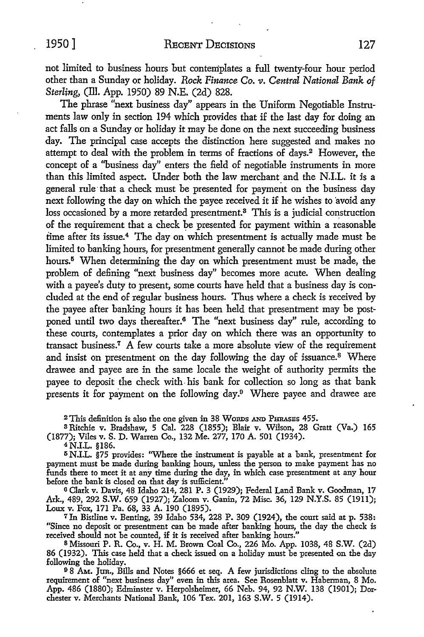not limited to business hours but contemplates a full twenty-four hour period other than a Sunday or holiday. *Rock Finance Co. v. Central National Bank of Sterling,* (ill. App. 1950) 89 N.E. (2d) 828.

The phrase "next business day" appears in the Uniform Negotiable Instruments law only in section 194 which provides that if the last day for doing an act falls on a Sunday or holiday it may be done on the next succeeding business day. The principal case accepts the distinction here suggested and makes no attempt to deal with the problem in terms of fractions of days.2 However, the concept of a ''business day" enters the field of negotiable instruments in more than this limited aspect. Under both the law merchant and the N.I.L. it is a general rule that a check must be presented for payment on the business day next following the day on which the payee received it if he wishes to avoid any loss occasioned by a more retarded presentment.<sup>8</sup> This is a judicial construction of the requirement that a check be presented for payment within a reasonable time after its issue.4 The day on which presentment is actually made must be limited to banking hours, for presentment generally cannot be made during other hours.<sup>5</sup> When determining the day on which presentment must be made, the problem of defining "next business day" becomes more acute. When dealing with a payee's duty to present, some courts have held that a business day is concluded at the end of regular business hours. Thus where a check is received by the payee after banking hours it has been held that presentment may be postponed until two days thereafter.<sup>6</sup> The "next business day" rule, according to these courts, contemplates a prior day on which there was an opportunity to transact business.7 A few courts take a more absolute view of the requirement and insist on presentment on the day following the day of issuance.<sup>8</sup> Where drawee and payee are in the same locale the weight of authority permits the payee *to* deposit the check with. his bank for collection so long as that bank presents it for payment on the following day.9 Where payee and drawee are

2 This definition is also the one given in 38 Wonns AND PHRASES 455.

<sup>3</sup>Ritchie v. Bradshaw, 5 Cal. 228 (1855); Blair v. Wilson, 28 Gratt (Va.) 165 (1877); Viles v. S. D. Warren Co., 132 Me. 277, 170 A. 501 (1934).

<sup>4</sup>N.I.L. §186.

<sup>5</sup> N.I.L. §75 provides: "Where the instrument is payable at a bank, presentment for payment must be made during banking hours, unless the person to make payment has no funds there to meet it at any time during the day, in which case presentment at any hour before the bank is closed on that day is sufficient.'

6 Clark v. Davis, 48 Idaho 214, 281 P. 3 (1929); Federal Land Bank v. Goodman, 17 Ark., 489, 292 S.W. 659 (1927); Zaloom v. Ganin, 72 Misc. 36, 129 N.Y.S. 85 (1911); Loux v. Fox, 171 Pa. 68, 33 A. 190 (1895).

<sup>7</sup>In Bistline v. Benting, 39 Idaho 534, 228 P. 309 (1924), the court said at p. 538: "Since no deposit or presentment can be made after banking hours, the day the check is received should not be counted, if it is received after banking hours."

s Missouri P.R. Co., v. H. M. Brown Coal Co., 226 Mo. App. 1038, 48 S.W. (2d) 86 (1932). This case held that a check issued on a holiday must be presented on the day following the holiday.

<sup>9</sup>8 AM.. Jun., Bills and Notes §666 et seq. *A* few jurisdictions cling to the absolute requirement of "next business day" even in this area. See Rosenblatt v. Haberman, 8 Mo. App. 486 (1880); Edminster v. Herpolsheimer, 66 Neb. 94, 92 **N.W.** 138 (1901); Dorchester v. Merchants National Bank, 106 Tex. 201, 163 S.W. 5 (1914).